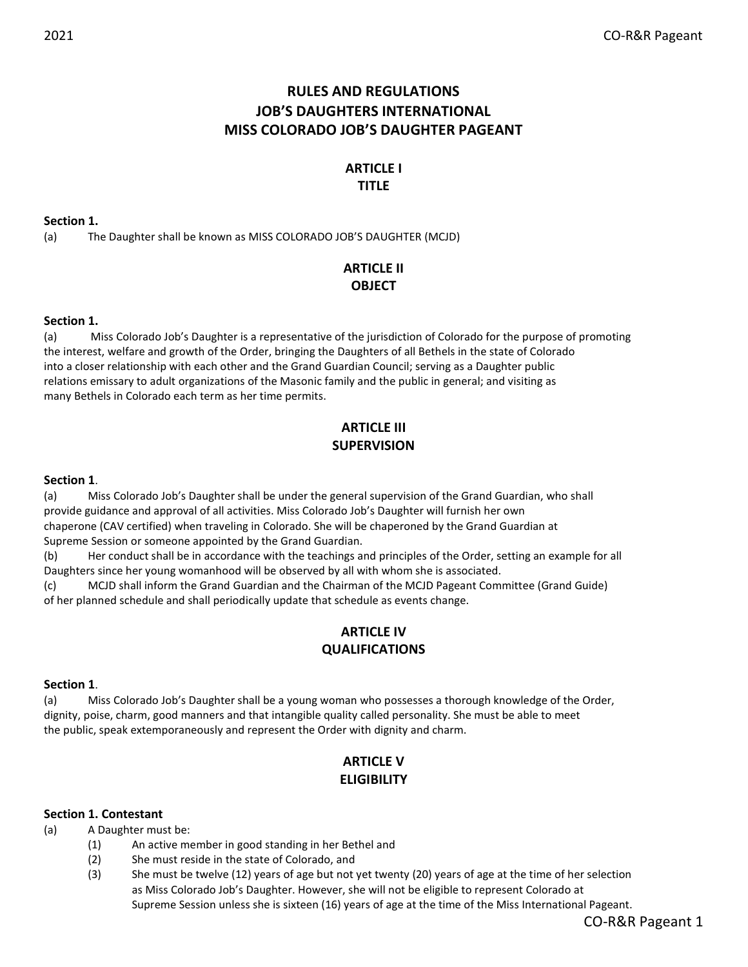# RULES AND REGULATIONS JOB'S DAUGHTERS INTERNATIONAL MISS COLORADO JOB'S DAUGHTER PAGEANT

# ARTICLE I TITLE

Section 1.

(a) The Daughter shall be known as MISS COLORADO JOB'S DAUGHTER (MCJD)

# ARTICLE II **OBJECT**

## Section 1.

(a) Miss Colorado Job's Daughter is a representative of the jurisdiction of Colorado for the purpose of promoting the interest, welfare and growth of the Order, bringing the Daughters of all Bethels in the state of Colorado into a closer relationship with each other and the Grand Guardian Council; serving as a Daughter public relations emissary to adult organizations of the Masonic family and the public in general; and visiting as many Bethels in Colorado each term as her time permits.

# ARTICLE III **SUPERVISION**

### Section 1.

(a) Miss Colorado Job's Daughter shall be under the general supervision of the Grand Guardian, who shall provide guidance and approval of all activities. Miss Colorado Job's Daughter will furnish her own chaperone (CAV certified) when traveling in Colorado. She will be chaperoned by the Grand Guardian at Supreme Session or someone appointed by the Grand Guardian.

(b) Her conduct shall be in accordance with the teachings and principles of the Order, setting an example for all Daughters since her young womanhood will be observed by all with whom she is associated.

(c) MCJD shall inform the Grand Guardian and the Chairman of the MCJD Pageant Committee (Grand Guide) of her planned schedule and shall periodically update that schedule as events change.

# ARTICLE IV QUALIFICATIONS

#### Section 1.

(a) Miss Colorado Job's Daughter shall be a young woman who possesses a thorough knowledge of the Order, dignity, poise, charm, good manners and that intangible quality called personality. She must be able to meet the public, speak extemporaneously and represent the Order with dignity and charm.

# ARTICLE V **ELIGIBILITY**

## Section 1. Contestant

(a) A Daughter must be:

- (1) An active member in good standing in her Bethel and
- (2) She must reside in the state of Colorado, and
- (3) She must be twelve (12) years of age but not yet twenty (20) years of age at the time of her selection as Miss Colorado Job's Daughter. However, she will not be eligible to represent Colorado at Supreme Session unless she is sixteen (16) years of age at the time of the Miss International Pageant.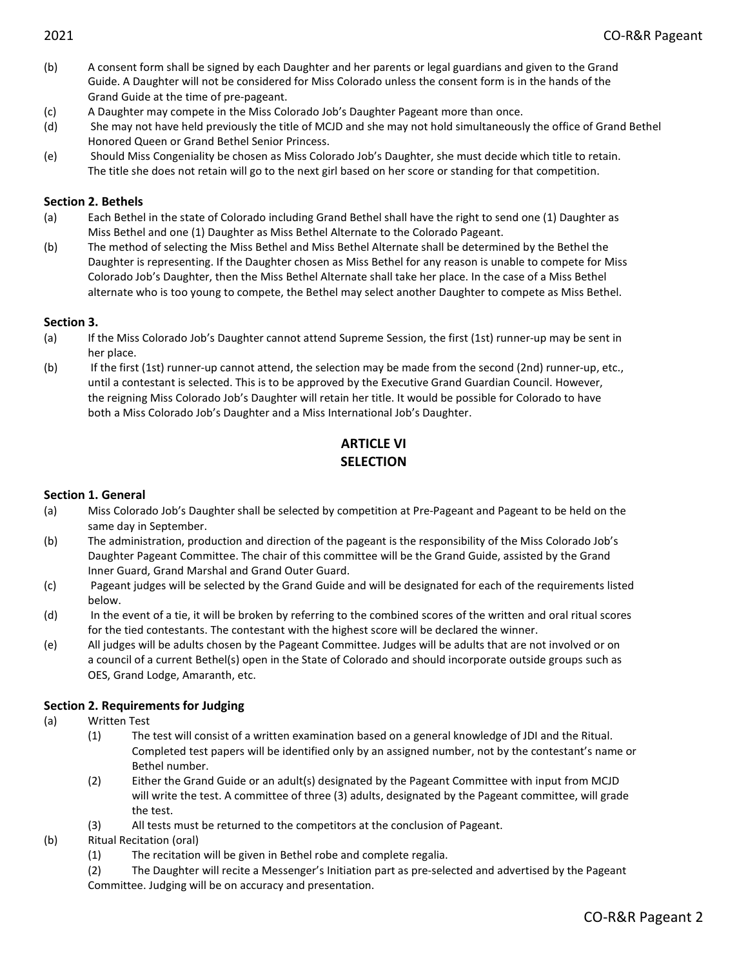- (b) A consent form shall be signed by each Daughter and her parents or legal guardians and given to the Grand Guide. A Daughter will not be considered for Miss Colorado unless the consent form is in the hands of the Grand Guide at the time of pre-pageant.
- (c) A Daughter may compete in the Miss Colorado Job's Daughter Pageant more than once.
- (d) She may not have held previously the title of MCJD and she may not hold simultaneously the office of Grand Bethel Honored Queen or Grand Bethel Senior Princess.
- (e) Should Miss Congeniality be chosen as Miss Colorado Job's Daughter, she must decide which title to retain. The title she does not retain will go to the next girl based on her score or standing for that competition.

## Section 2. Bethels

- (a) Each Bethel in the state of Colorado including Grand Bethel shall have the right to send one (1) Daughter as Miss Bethel and one (1) Daughter as Miss Bethel Alternate to the Colorado Pageant.
- (b) The method of selecting the Miss Bethel and Miss Bethel Alternate shall be determined by the Bethel the Daughter is representing. If the Daughter chosen as Miss Bethel for any reason is unable to compete for Miss Colorado Job's Daughter, then the Miss Bethel Alternate shall take her place. In the case of a Miss Bethel alternate who is too young to compete, the Bethel may select another Daughter to compete as Miss Bethel.

### Section 3.

- (a) If the Miss Colorado Job's Daughter cannot attend Supreme Session, the first (1st) runner-up may be sent in her place.
- (b) If the first (1st) runner-up cannot attend, the selection may be made from the second (2nd) runner-up, etc., until a contestant is selected. This is to be approved by the Executive Grand Guardian Council. However, the reigning Miss Colorado Job's Daughter will retain her title. It would be possible for Colorado to have both a Miss Colorado Job's Daughter and a Miss International Job's Daughter.

# ARTICLE VI **SFLECTION**

## Section 1. General

- (a) Miss Colorado Job's Daughter shall be selected by competition at Pre-Pageant and Pageant to be held on the same day in September.
- (b) The administration, production and direction of the pageant is the responsibility of the Miss Colorado Job's Daughter Pageant Committee. The chair of this committee will be the Grand Guide, assisted by the Grand Inner Guard, Grand Marshal and Grand Outer Guard.
- (c) Pageant judges will be selected by the Grand Guide and will be designated for each of the requirements listed below.
- (d) In the event of a tie, it will be broken by referring to the combined scores of the written and oral ritual scores for the tied contestants. The contestant with the highest score will be declared the winner.
- (e) All judges will be adults chosen by the Pageant Committee. Judges will be adults that are not involved or on a council of a current Bethel(s) open in the State of Colorado and should incorporate outside groups such as OES, Grand Lodge, Amaranth, etc.

## Section 2. Requirements for Judging

- (a) Written Test
	- (1) The test will consist of a written examination based on a general knowledge of JDI and the Ritual. Completed test papers will be identified only by an assigned number, not by the contestant's name or Bethel number.
	- (2) Either the Grand Guide or an adult(s) designated by the Pageant Committee with input from MCJD will write the test. A committee of three (3) adults, designated by the Pageant committee, will grade the test.
	- (3) All tests must be returned to the competitors at the conclusion of Pageant.
- (b) Ritual Recitation (oral)
	- (1) The recitation will be given in Bethel robe and complete regalia.
	- (2) The Daughter will recite a Messenger's Initiation part as pre-selected and advertised by the Pageant Committee. Judging will be on accuracy and presentation.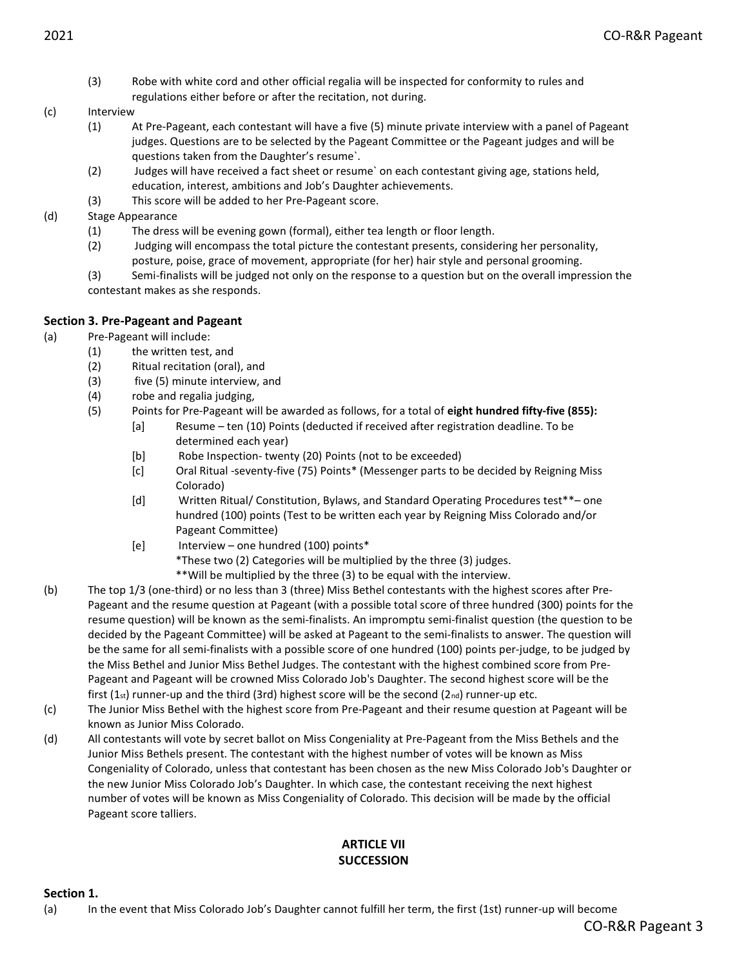(3) Robe with white cord and other official regalia will be inspected for conformity to rules and regulations either before or after the recitation, not during.

#### (c) Interview

- (1) At Pre-Pageant, each contestant will have a five (5) minute private interview with a panel of Pageant judges. Questions are to be selected by the Pageant Committee or the Pageant judges and will be questions taken from the Daughter's resume`.
- (2) Judges will have received a fact sheet or resume` on each contestant giving age, stations held, education, interest, ambitions and Job's Daughter achievements.
- (3) This score will be added to her Pre-Pageant score.
- (d) Stage Appearance
	- (1) The dress will be evening gown (formal), either tea length or floor length.
	- (2) Judging will encompass the total picture the contestant presents, considering her personality, posture, poise, grace of movement, appropriate (for her) hair style and personal grooming.

(3) Semi-finalists will be judged not only on the response to a question but on the overall impression the contestant makes as she responds.

# Section 3. Pre-Pageant and Pageant

# (a) Pre-Pageant will include:

- (1) the written test, and
- (2) Ritual recitation (oral), and
- (3) five (5) minute interview, and
- (4) robe and regalia judging,
- (5) Points for Pre-Pageant will be awarded as follows, for a total of eight hundred fifty-five (855):
	- [a] Resume ten (10) Points (deducted if received after registration deadline. To be determined each year)
	- [b] Robe Inspection- twenty (20) Points (not to be exceeded)
	- [c] Oral Ritual -seventy-five (75) Points\* (Messenger parts to be decided by Reigning Miss Colorado)
	- [d] Written Ritual/ Constitution, Bylaws, and Standard Operating Procedures test\*\*– one hundred (100) points (Test to be written each year by Reigning Miss Colorado and/or Pageant Committee)
	- [e] Interview one hundred (100) points\*
		- \*These two (2) Categories will be multiplied by the three (3) judges.
		- \*\*Will be multiplied by the three (3) to be equal with the interview.
- (b) The top 1/3 (one-third) or no less than 3 (three) Miss Bethel contestants with the highest scores after Pre-Pageant and the resume question at Pageant (with a possible total score of three hundred (300) points for the resume question) will be known as the semi-finalists. An impromptu semi-finalist question (the question to be decided by the Pageant Committee) will be asked at Pageant to the semi-finalists to answer. The question will be the same for all semi-finalists with a possible score of one hundred (100) points per-judge, to be judged by the Miss Bethel and Junior Miss Bethel Judges. The contestant with the highest combined score from Pre-Pageant and Pageant will be crowned Miss Colorado Job's Daughter. The second highest score will be the first  $(1_{st})$  runner-up and the third  $(3rd)$  highest score will be the second  $(2_{nd})$  runner-up etc.
- (c) The Junior Miss Bethel with the highest score from Pre-Pageant and their resume question at Pageant will be known as Junior Miss Colorado.
- (d) All contestants will vote by secret ballot on Miss Congeniality at Pre-Pageant from the Miss Bethels and the Junior Miss Bethels present. The contestant with the highest number of votes will be known as Miss Congeniality of Colorado, unless that contestant has been chosen as the new Miss Colorado Job's Daughter or the new Junior Miss Colorado Job's Daughter. In which case, the contestant receiving the next highest number of votes will be known as Miss Congeniality of Colorado. This decision will be made by the official Pageant score talliers.

# ARTICLE VII **SUCCESSION**

Section 1.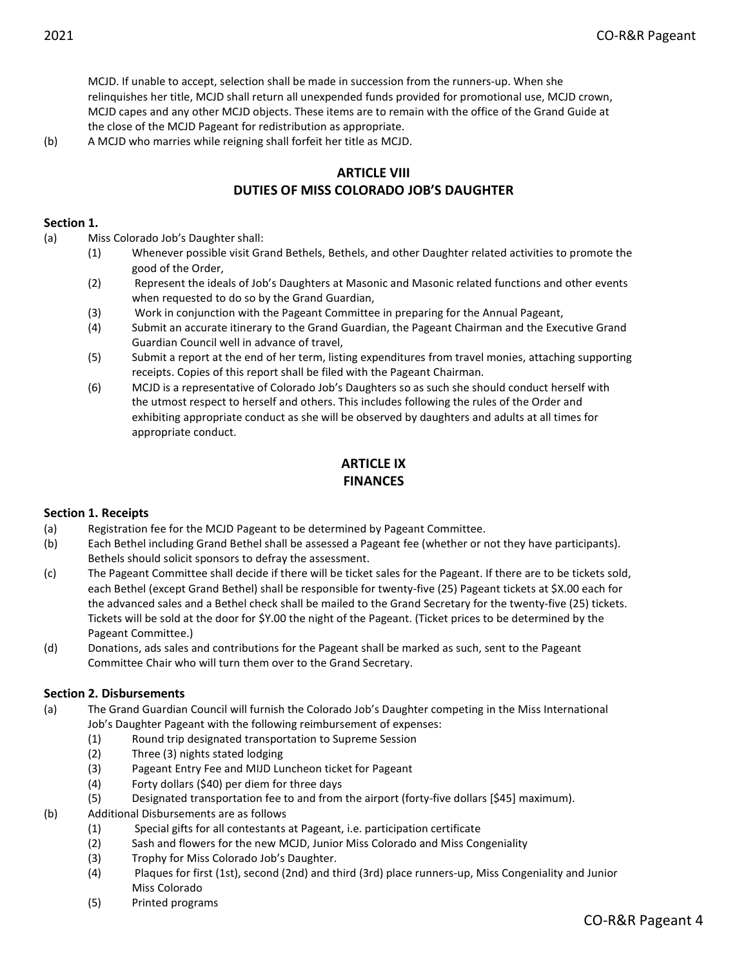MCJD. If unable to accept, selection shall be made in succession from the runners-up. When she relinquishes her title, MCJD shall return all unexpended funds provided for promotional use, MCJD crown, MCJD capes and any other MCJD objects. These items are to remain with the office of the Grand Guide at the close of the MCJD Pageant for redistribution as appropriate.

(b) A MCJD who marries while reigning shall forfeit her title as MCJD.

# ARTICLE VIII

# DUTIES OF MISS COLORADO JOB'S DAUGHTER

### Section 1.

(a) Miss Colorado Job's Daughter shall:

- (1) Whenever possible visit Grand Bethels, Bethels, and other Daughter related activities to promote the good of the Order,
- (2) Represent the ideals of Job's Daughters at Masonic and Masonic related functions and other events when requested to do so by the Grand Guardian,
- (3) Work in conjunction with the Pageant Committee in preparing for the Annual Pageant,
- (4) Submit an accurate itinerary to the Grand Guardian, the Pageant Chairman and the Executive Grand Guardian Council well in advance of travel,
- (5) Submit a report at the end of her term, listing expenditures from travel monies, attaching supporting receipts. Copies of this report shall be filed with the Pageant Chairman.
- (6) MCJD is a representative of Colorado Job's Daughters so as such she should conduct herself with the utmost respect to herself and others. This includes following the rules of the Order and exhibiting appropriate conduct as she will be observed by daughters and adults at all times for appropriate conduct.

# ARTICLE IX FINANCES

## Section 1. Receipts

- (a) Registration fee for the MCJD Pageant to be determined by Pageant Committee.
- (b) Each Bethel including Grand Bethel shall be assessed a Pageant fee (whether or not they have participants). Bethels should solicit sponsors to defray the assessment.
- (c) The Pageant Committee shall decide if there will be ticket sales for the Pageant. If there are to be tickets sold, each Bethel (except Grand Bethel) shall be responsible for twenty-five (25) Pageant tickets at \$X.00 each for the advanced sales and a Bethel check shall be mailed to the Grand Secretary for the twenty-five (25) tickets. Tickets will be sold at the door for \$Y.00 the night of the Pageant. (Ticket prices to be determined by the Pageant Committee.)
- (d) Donations, ads sales and contributions for the Pageant shall be marked as such, sent to the Pageant Committee Chair who will turn them over to the Grand Secretary.

## Section 2. Disbursements

- (a) The Grand Guardian Council will furnish the Colorado Job's Daughter competing in the Miss International Job's Daughter Pageant with the following reimbursement of expenses:
	- (1) Round trip designated transportation to Supreme Session
	- (2) Three (3) nights stated lodging
	- (3) Pageant Entry Fee and MIJD Luncheon ticket for Pageant
	- (4) Forty dollars (\$40) per diem for three days
	- (5) Designated transportation fee to and from the airport (forty-five dollars [\$45] maximum).
- (b) Additional Disbursements are as follows
	- (1) Special gifts for all contestants at Pageant, i.e. participation certificate
	- (2) Sash and flowers for the new MCJD, Junior Miss Colorado and Miss Congeniality
	- (3) Trophy for Miss Colorado Job's Daughter.
	- (4) Plaques for first (1st), second (2nd) and third (3rd) place runners-up, Miss Congeniality and Junior Miss Colorado
	- (5) Printed programs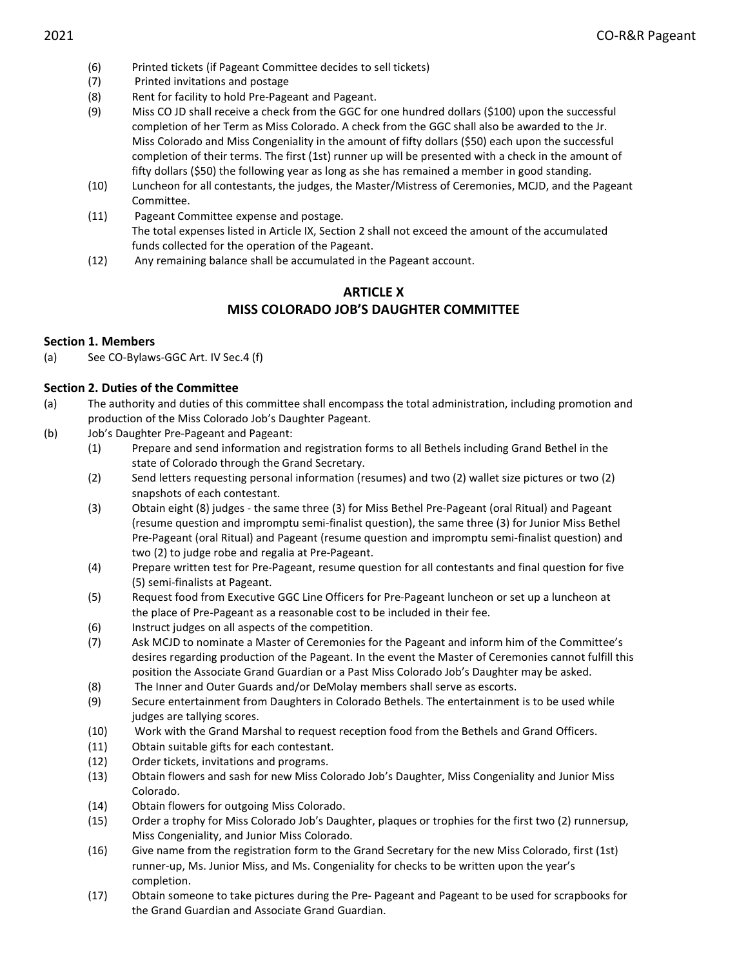- (6) Printed tickets (if Pageant Committee decides to sell tickets)
- (7) Printed invitations and postage
- (8) Rent for facility to hold Pre-Pageant and Pageant.
- (9) Miss CO JD shall receive a check from the GGC for one hundred dollars (\$100) upon the successful completion of her Term as Miss Colorado. A check from the GGC shall also be awarded to the Jr. Miss Colorado and Miss Congeniality in the amount of fifty dollars (\$50) each upon the successful completion of their terms. The first (1st) runner up will be presented with a check in the amount of fifty dollars (\$50) the following year as long as she has remained a member in good standing.
- (10) Luncheon for all contestants, the judges, the Master/Mistress of Ceremonies, MCJD, and the Pageant Committee.
- (11) Pageant Committee expense and postage. The total expenses listed in Article IX, Section 2 shall not exceed the amount of the accumulated funds collected for the operation of the Pageant.
- (12) Any remaining balance shall be accumulated in the Pageant account.

# ARTICLE X MISS COLORADO JOB'S DAUGHTER COMMITTEE

## Section 1. Members

(a) See CO-Bylaws-GGC Art. IV Sec.4 (f)

## Section 2. Duties of the Committee

- (a) The authority and duties of this committee shall encompass the total administration, including promotion and production of the Miss Colorado Job's Daughter Pageant.
- (b) Job's Daughter Pre-Pageant and Pageant:
	- (1) Prepare and send information and registration forms to all Bethels including Grand Bethel in the state of Colorado through the Grand Secretary.
	- (2) Send letters requesting personal information (resumes) and two (2) wallet size pictures or two (2) snapshots of each contestant.
	- (3) Obtain eight (8) judges the same three (3) for Miss Bethel Pre-Pageant (oral Ritual) and Pageant (resume question and impromptu semi-finalist question), the same three (3) for Junior Miss Bethel Pre-Pageant (oral Ritual) and Pageant (resume question and impromptu semi-finalist question) and two (2) to judge robe and regalia at Pre-Pageant.
	- (4) Prepare written test for Pre-Pageant, resume question for all contestants and final question for five (5) semi-finalists at Pageant.
	- (5) Request food from Executive GGC Line Officers for Pre-Pageant luncheon or set up a luncheon at the place of Pre-Pageant as a reasonable cost to be included in their fee.
	- (6) Instruct judges on all aspects of the competition.
	- (7) Ask MCJD to nominate a Master of Ceremonies for the Pageant and inform him of the Committee's desires regarding production of the Pageant. In the event the Master of Ceremonies cannot fulfill this position the Associate Grand Guardian or a Past Miss Colorado Job's Daughter may be asked.
	- (8) The Inner and Outer Guards and/or DeMolay members shall serve as escorts.
	- (9) Secure entertainment from Daughters in Colorado Bethels. The entertainment is to be used while judges are tallying scores.
	- (10) Work with the Grand Marshal to request reception food from the Bethels and Grand Officers.
	- (11) Obtain suitable gifts for each contestant.
	- (12) Order tickets, invitations and programs.
	- (13) Obtain flowers and sash for new Miss Colorado Job's Daughter, Miss Congeniality and Junior Miss Colorado.
	- (14) Obtain flowers for outgoing Miss Colorado.
	- (15) Order a trophy for Miss Colorado Job's Daughter, plaques or trophies for the first two (2) runnersup, Miss Congeniality, and Junior Miss Colorado.
	- (16) Give name from the registration form to the Grand Secretary for the new Miss Colorado, first (1st) runner-up, Ms. Junior Miss, and Ms. Congeniality for checks to be written upon the year's completion.
	- (17) Obtain someone to take pictures during the Pre- Pageant and Pageant to be used for scrapbooks for the Grand Guardian and Associate Grand Guardian.